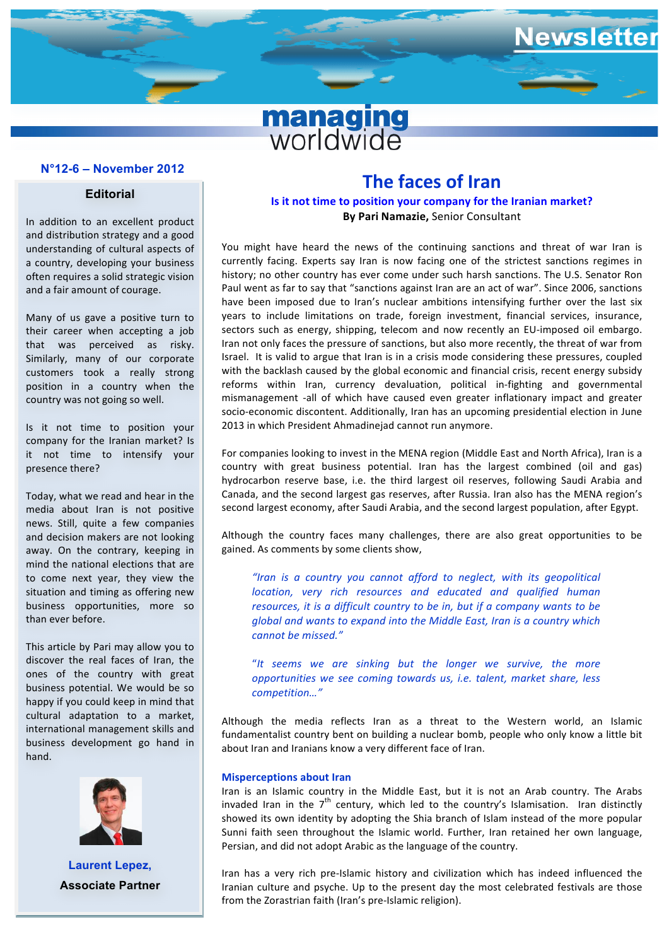# **managing**<br>worldwide

### **N°11-7 – December 2011 N°12-6 – November 2012**

### **Editorial**

In addition to an excellent product and distribution strategy and a good understanding of cultural aspects of a country, developing your business often requires a solid strategic vision and a fair amount of courage.

Many of us gave a positive turn to their career when accepting a job that was perceived as risky. Similarly, many of our corporate customers took a really strong position in a country when the country was not going so well.

Is it not time to position your company for the Iranian market? Is it not time to intensify your presence there?

Today, what we read and hear in the media about Iran is not positive news. Still, quite a few companies and decision makers are not looking away. On the contrary, keeping in mind the national elections that are to come next year, they view the situation and timing as offering new business opportunities, more so than ever before.

This article by Pari may allow you to discover the real faces of Iran, the ones of the country with great business potential. We would be so happy if you could keep in mind that cultural adaptation to a market, international management skills and business development go hand in hand.



**Laurent Lepez, Associate Partner**

### **The faces of Iran**

lewsletter

### **Is it not time to position your company for the Iranian market? By Pari Namazie, Senior Consultant**

You might have heard the news of the continuing sanctions and threat of war Iran is currently facing. Experts say Iran is now facing one of the strictest sanctions regimes in history; no other country has ever come under such harsh sanctions. The U.S. Senator Ron Paul went as far to say that "sanctions against Iran are an act of war". Since 2006, sanctions have been imposed due to Iran's nuclear ambitions intensifying further over the last six years to include limitations on trade, foreign investment, financial services, insurance, sectors such as energy, shipping, telecom and now recently an EU-imposed oil embargo. Iran not only faces the pressure of sanctions, but also more recently, the threat of war from Israel. It is valid to argue that Iran is in a crisis mode considering these pressures, coupled with the backlash caused by the global economic and financial crisis, recent energy subsidy reforms within Iran, currency devaluation, political in-fighting and governmental mismanagement -all of which have caused even greater inflationary impact and greater socio-economic discontent. Additionally, Iran has an upcoming presidential election in June 2013 in which President Ahmadineiad cannot run anymore.

For companies looking to invest in the MENA region (Middle East and North Africa), Iran is a country with great business potential. Iran has the largest combined (oil and gas) hydrocarbon reserve base, i.e. the third largest oil reserves, following Saudi Arabia and Canada, and the second largest gas reserves, after Russia. Iran also has the MENA region's second largest economy, after Saudi Arabia, and the second largest population, after Egypt.

Although the country faces many challenges, there are also great opportunities to be gained. As comments by some clients show,

"Iran is a country you cannot afford to neglect, with its geopolitical *location, very rich resources and educated and qualified human resources, it is a difficult country to be in, but if a company wants to be global and wants to expand into the Middle East, Iran is a country which cannot be missed."*

"It seems we are sinking but the longer we survive, the more *opportunities* we see coming towards us, i.e. talent, market share, less *competition…"*

Although the media reflects Iran as a threat to the Western world, an Islamic fundamentalist country bent on building a nuclear bomb, people who only know a little bit about Iran and Iranians know a very different face of Iran.

### **Misperceptions about Iran**

Iran is an Islamic country in the Middle East, but it is not an Arab country. The Arabs invaded Iran in the  $7<sup>th</sup>$  century, which led to the country's Islamisation. Iran distinctly showed its own identity by adopting the Shia branch of Islam instead of the more popular Sunni faith seen throughout the Islamic world. Further, Iran retained her own language, Persian, and did not adopt Arabic as the language of the country.

Iran has a very rich pre-Islamic history and civilization which has indeed influenced the Iranian culture and psyche. Up to the present day the most celebrated festivals are those from the Zorastrian faith (Iran's pre-Islamic religion).